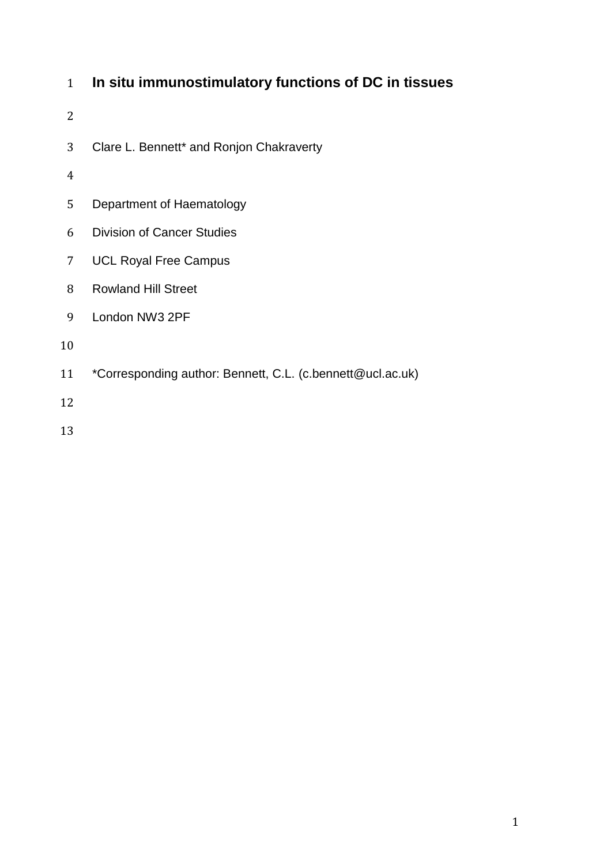# **In situ immunostimulatory functions of DC in tissues**

- 
- Clare L. Bennett\* and Ronjon Chakraverty
- 
- Department of Haematology
- Division of Cancer Studies
- UCL Royal Free Campus
- Rowland Hill Street
- London NW3 2PF
- 
- \*Corresponding author: Bennett, C.L. (c.bennett@ucl.ac.uk)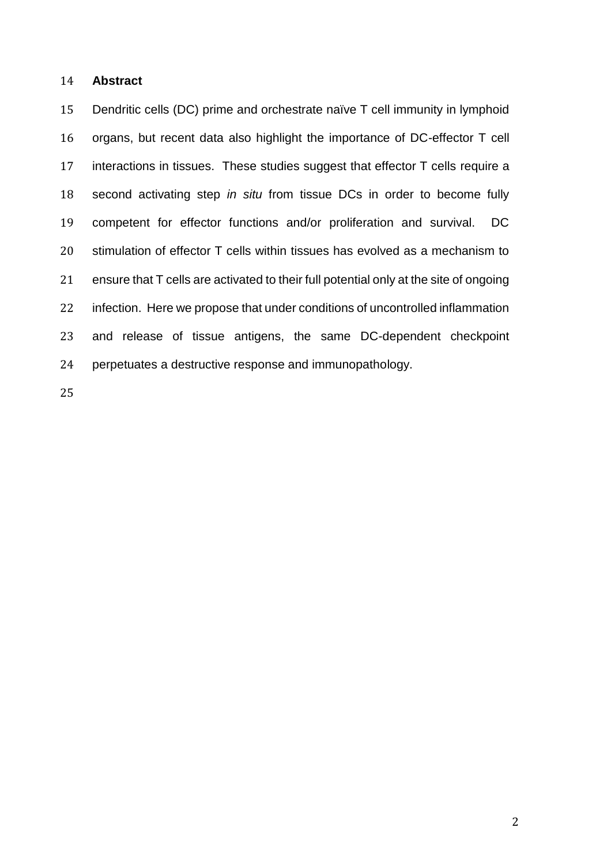### **Abstract**

 Dendritic cells (DC) prime and orchestrate naïve T cell immunity in lymphoid organs, but recent data also highlight the importance of DC-effector T cell interactions in tissues. These studies suggest that effector T cells require a second activating step *in situ* from tissue DCs in order to become fully competent for effector functions and/or proliferation and survival. DC stimulation of effector T cells within tissues has evolved as a mechanism to ensure that T cells are activated to their full potential only at the site of ongoing infection. Here we propose that under conditions of uncontrolled inflammation and release of tissue antigens, the same DC-dependent checkpoint perpetuates a destructive response and immunopathology.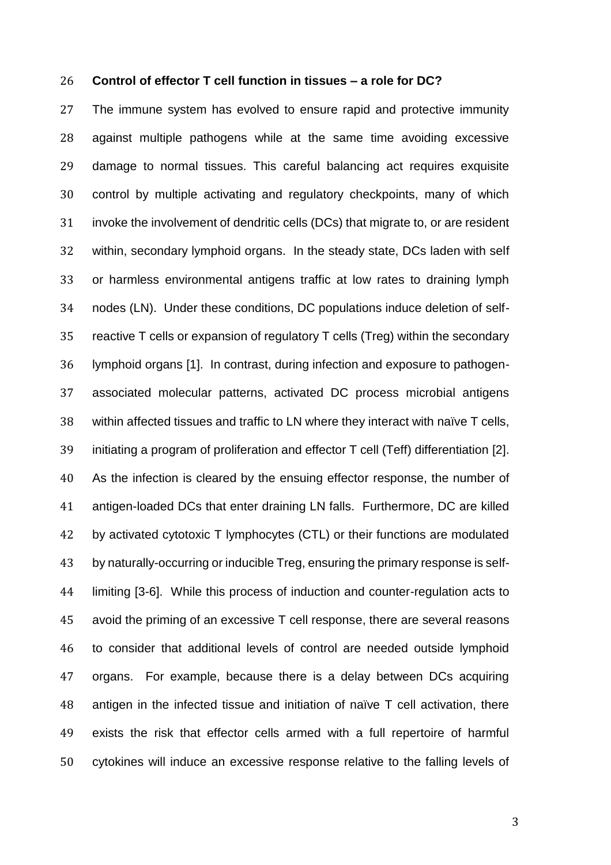#### **Control of effector T cell function in tissues – a role for DC?**

 The immune system has evolved to ensure rapid and protective immunity against multiple pathogens while at the same time avoiding excessive damage to normal tissues. This careful balancing act requires exquisite control by multiple activating and regulatory checkpoints, many of which invoke the involvement of dendritic cells (DCs) that migrate to, or are resident within, secondary lymphoid organs. In the steady state, DCs laden with self or harmless environmental antigens traffic at low rates to draining lymph nodes (LN). Under these conditions, DC populations induce deletion of self- reactive T cells or expansion of regulatory T cells (Treg) within the secondary lymphoid organs [\[1\]](#page-14-0). In contrast, during infection and exposure to pathogen- associated molecular patterns, activated DC process microbial antigens within affected tissues and traffic to LN where they interact with naïve T cells, initiating a program of proliferation and effector T cell (Teff) differentiation [\[2\]](#page-14-1). As the infection is cleared by the ensuing effector response, the number of antigen-loaded DCs that enter draining LN falls. Furthermore, DC are killed 42 by activated cytotoxic T lymphocytes (CTL) or their functions are modulated by naturally-occurring or inducible Treg, ensuring the primary response is self- limiting [\[3-6\]](#page-14-2). While this process of induction and counter-regulation acts to avoid the priming of an excessive T cell response, there are several reasons to consider that additional levels of control are needed outside lymphoid organs. For example, because there is a delay between DCs acquiring antigen in the infected tissue and initiation of naïve T cell activation, there exists the risk that effector cells armed with a full repertoire of harmful cytokines will induce an excessive response relative to the falling levels of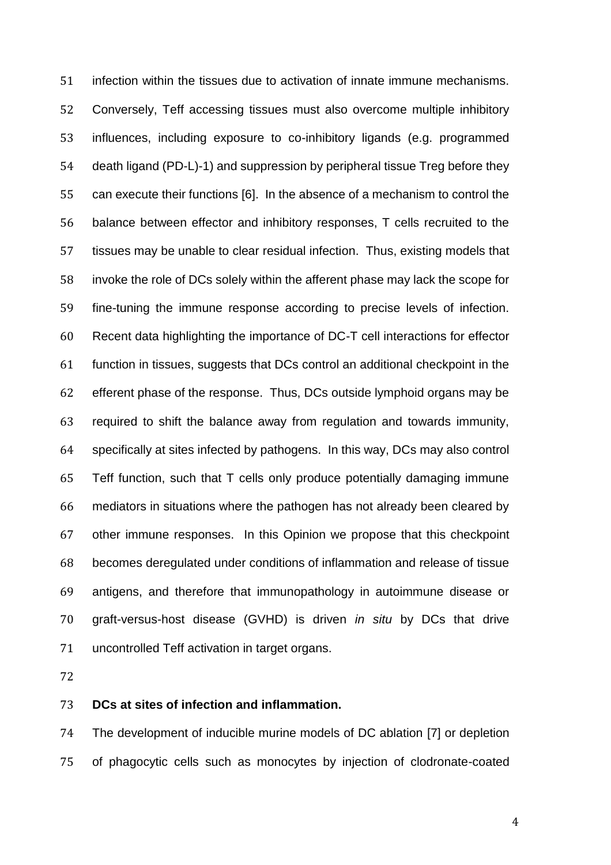infection within the tissues due to activation of innate immune mechanisms. Conversely, Teff accessing tissues must also overcome multiple inhibitory influences, including exposure to co-inhibitory ligands (e.g. programmed death ligand (PD-L)-1) and suppression by peripheral tissue Treg before they can execute their functions [\[6\]](#page-14-3). In the absence of a mechanism to control the balance between effector and inhibitory responses, T cells recruited to the tissues may be unable to clear residual infection. Thus, existing models that invoke the role of DCs solely within the afferent phase may lack the scope for fine-tuning the immune response according to precise levels of infection. Recent data highlighting the importance of DC-T cell interactions for effector function in tissues, suggests that DCs control an additional checkpoint in the efferent phase of the response. Thus, DCs outside lymphoid organs may be required to shift the balance away from regulation and towards immunity, specifically at sites infected by pathogens. In this way, DCs may also control Teff function, such that T cells only produce potentially damaging immune mediators in situations where the pathogen has not already been cleared by other immune responses. In this Opinion we propose that this checkpoint becomes deregulated under conditions of inflammation and release of tissue antigens, and therefore that immunopathology in autoimmune disease or graft-versus-host disease (GVHD) is driven *in situ* by DCs that drive uncontrolled Teff activation in target organs.

# **DCs at sites of infection and inflammation.**

 The development of inducible murine models of DC ablation [\[7\]](#page-14-4) or depletion of phagocytic cells such as monocytes by injection of clodronate-coated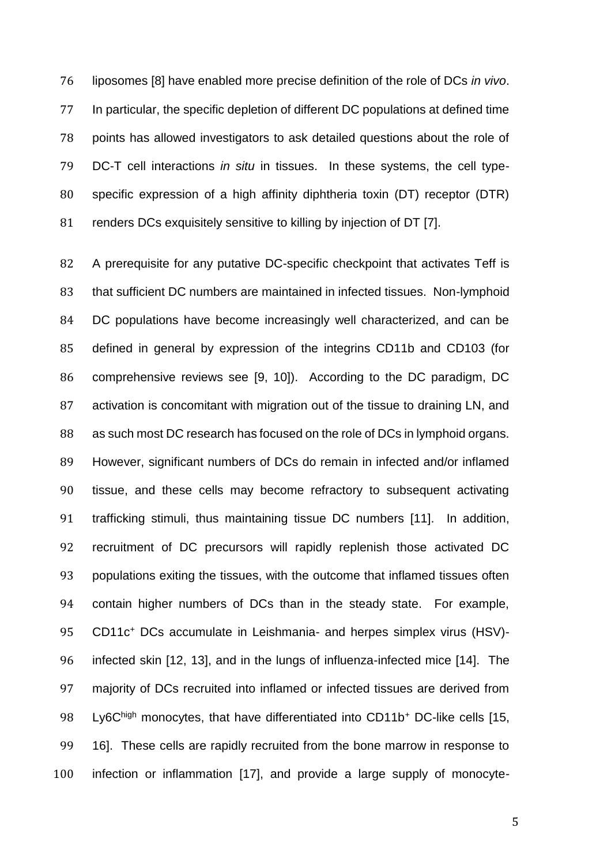liposomes [\[8\]](#page-14-5) have enabled more precise definition of the role of DCs *in vivo*. In particular, the specific depletion of different DC populations at defined time points has allowed investigators to ask detailed questions about the role of DC-T cell interactions *in situ* in tissues. In these systems, the cell type- specific expression of a high affinity diphtheria toxin (DT) receptor (DTR) renders DCs exquisitely sensitive to killing by injection of DT [\[7\]](#page-14-4).

82 A prerequisite for any putative DC-specific checkpoint that activates Teff is that sufficient DC numbers are maintained in infected tissues. Non-lymphoid DC populations have become increasingly well characterized, and can be defined in general by expression of the integrins CD11b and CD103 (for comprehensive reviews see [\[9,](#page-14-6) [10\]](#page-14-7)). According to the DC paradigm, DC 87 activation is concomitant with migration out of the tissue to draining LN, and 88 as such most DC research has focused on the role of DCs in lymphoid organs. However, significant numbers of DCs do remain in infected and/or inflamed tissue, and these cells may become refractory to subsequent activating trafficking stimuli, thus maintaining tissue DC numbers [\[11\]](#page-14-8). In addition, recruitment of DC precursors will rapidly replenish those activated DC populations exiting the tissues, with the outcome that inflamed tissues often contain higher numbers of DCs than in the steady state. For example, 95 CD11c<sup>+</sup> DCs accumulate in Leishmania- and herpes simplex virus (HSV)- infected skin [\[12,](#page-14-9) [13\]](#page-14-10), and in the lungs of influenza-infected mice [\[14\]](#page-14-11). The majority of DCs recruited into inflamed or infected tissues are derived from 98 Ly6Chigh monocytes, that have differentiated into CD11b<sup>+</sup> DC-like cells [\[15,](#page-14-12) [16\]](#page-14-13). These cells are rapidly recruited from the bone marrow in response to infection or inflammation [\[17\]](#page-15-0), and provide a large supply of monocyte-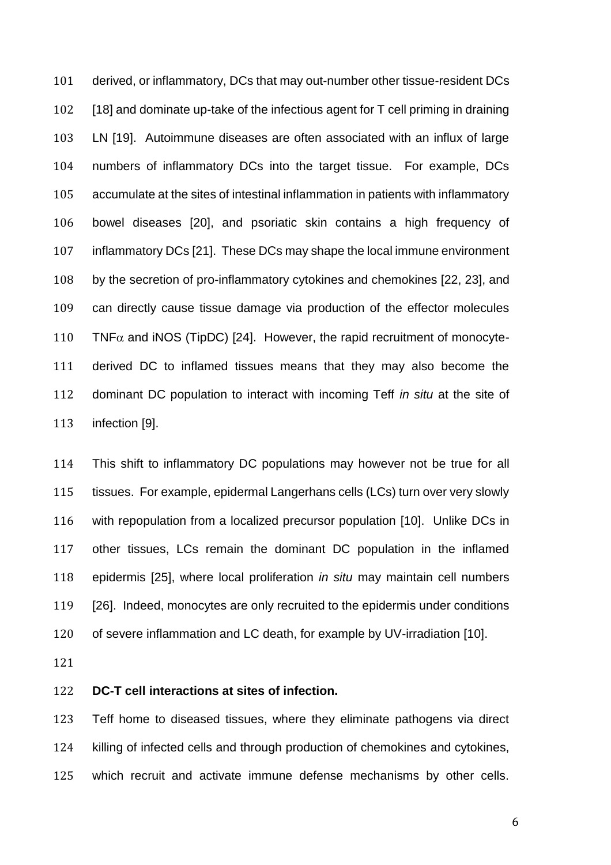derived, or inflammatory, DCs that may out-number other tissue-resident DCs [\[18\]](#page-15-1) and dominate up-take of the infectious agent for T cell priming in draining LN [\[19\]](#page-15-2). Autoimmune diseases are often associated with an influx of large numbers of inflammatory DCs into the target tissue. For example, DCs accumulate at the sites of intestinal inflammation in patients with inflammatory bowel diseases [\[20\]](#page-15-3), and psoriatic skin contains a high frequency of inflammatory DCs [\[21\]](#page-15-4). These DCs may shape the local immune environment by the secretion of pro-inflammatory cytokines and chemokines [\[22,](#page-15-5) [23\]](#page-15-6), and can directly cause tissue damage via production of the effector molecules 110 TNF $\alpha$  and iNOS (TipDC) [\[24\]](#page-15-7). However, the rapid recruitment of monocyte- derived DC to inflamed tissues means that they may also become the dominant DC population to interact with incoming Teff *in situ* at the site of infection [\[9\]](#page-14-6).

 This shift to inflammatory DC populations may however not be true for all tissues. For example, epidermal Langerhans cells (LCs) turn over very slowly with repopulation from a localized precursor population [\[10\]](#page-14-7). Unlike DCs in other tissues, LCs remain the dominant DC population in the inflamed epidermis [\[25\]](#page-15-8), where local proliferation *in situ* may maintain cell numbers [\[26\]](#page-15-9). Indeed, monocytes are only recruited to the epidermis under conditions of severe inflammation and LC death, for example by UV-irradiation [\[10\]](#page-14-7).

# **DC-T cell interactions at sites of infection.**

 Teff home to diseased tissues, where they eliminate pathogens via direct killing of infected cells and through production of chemokines and cytokines, which recruit and activate immune defense mechanisms by other cells.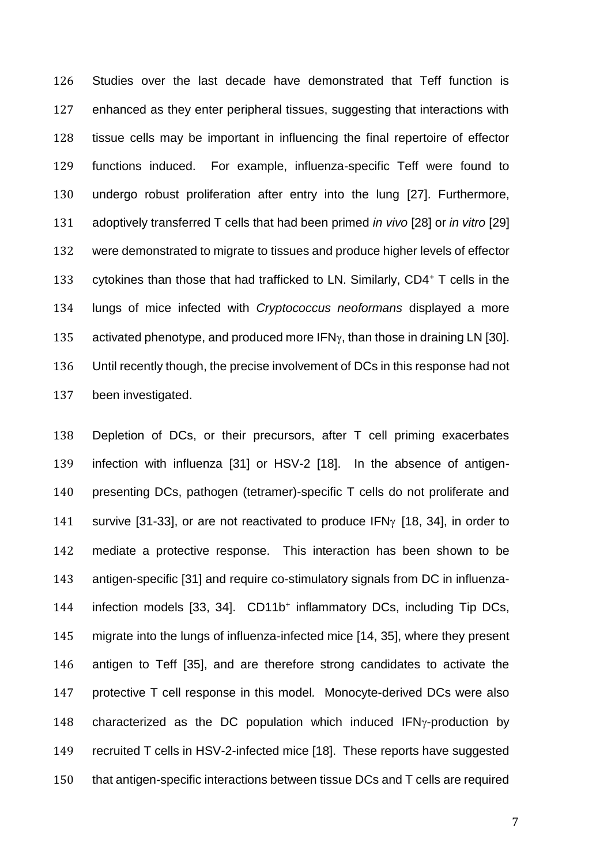Studies over the last decade have demonstrated that Teff function is enhanced as they enter peripheral tissues, suggesting that interactions with tissue cells may be important in influencing the final repertoire of effector functions induced. For example, influenza-specific Teff were found to undergo robust proliferation after entry into the lung [\[27\]](#page-15-10). Furthermore, adoptively transferred T cells that had been primed *in vivo* [\[28\]](#page-15-11) or *in vitro* [\[29\]](#page-15-12) were demonstrated to migrate to tissues and produce higher levels of effector 133 cytokines than those that had trafficked to LN. Similarly,  $CD4+T$  cells in the lungs of mice infected with *Cryptococcus neoformans* displayed a more 135 activated phenotype, and produced more  $IFN<sub>Y</sub>$ , than those in draining LN [\[30\]](#page-15-13). Until recently though, the precise involvement of DCs in this response had not been investigated.

 Depletion of DCs, or their precursors, after T cell priming exacerbates infection with influenza [\[31\]](#page-15-14) or HSV-2 [\[18\]](#page-15-1). In the absence of antigen- presenting DCs, pathogen (tetramer)-specific T cells do not proliferate and 141 survive [\[31-33\]](#page-15-14), or are not reactivated to produce IFN $\gamma$  [\[18,](#page-15-1) [34\]](#page-16-0), in order to mediate a protective response. This interaction has been shown to be antigen-specific [\[31\]](#page-15-14) and require co-stimulatory signals from DC in influenza-144 infection models [\[33,](#page-16-1) [34\]](#page-16-0). CD11b<sup>+</sup> inflammatory DCs, including Tip DCs, migrate into the lungs of influenza-infected mice [\[14,](#page-14-11) [35\]](#page-16-2), where they present antigen to Teff [\[35\]](#page-16-2), and are therefore strong candidates to activate the protective T cell response in this model*.* Monocyte-derived DCs were also 148 characterized as the DC population which induced  $IFN<sub>Y</sub>$ -production by recruited T cells in HSV-2-infected mice [\[18\]](#page-15-1). These reports have suggested that antigen-specific interactions between tissue DCs and T cells are required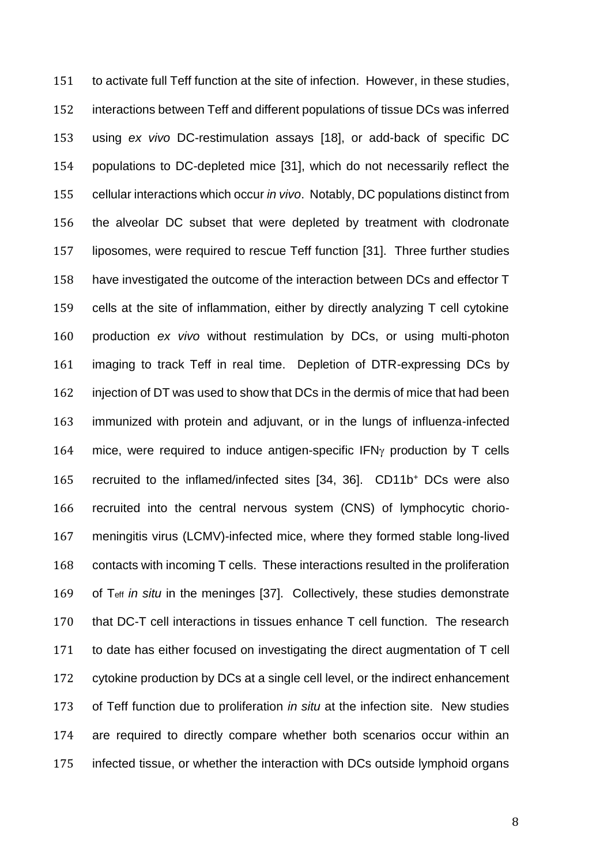to activate full Teff function at the site of infection. However, in these studies, interactions between Teff and different populations of tissue DCs was inferred using *ex vivo* DC-restimulation assays [\[18\]](#page-15-1), or add-back of specific DC populations to DC-depleted mice [\[31\]](#page-15-14), which do not necessarily reflect the cellular interactions which occur *in vivo*. Notably, DC populations distinct from the alveolar DC subset that were depleted by treatment with clodronate liposomes, were required to rescue Teff function [\[31\]](#page-15-14). Three further studies have investigated the outcome of the interaction between DCs and effector T cells at the site of inflammation, either by directly analyzing T cell cytokine production *ex vivo* without restimulation by DCs, or using multi-photon imaging to track Teff in real time. Depletion of DTR-expressing DCs by injection of DT was used to show that DCs in the dermis of mice that had been immunized with protein and adjuvant, or in the lungs of influenza-infected 164 mice, were required to induce antigen-specific  $IFN<sub>Y</sub>$  production by T cells 165 recruited to the inflamed/infected sites  $[34, 36]$  $[34, 36]$ . CD11b<sup>+</sup> DCs were also recruited into the central nervous system (CNS) of lymphocytic chorio- meningitis virus (LCMV)-infected mice, where they formed stable long-lived contacts with incoming T cells. These interactions resulted in the proliferation of Teff *in situ* in the meninges [\[37\]](#page-16-4). Collectively, these studies demonstrate that DC-T cell interactions in tissues enhance T cell function. The research to date has either focused on investigating the direct augmentation of T cell cytokine production by DCs at a single cell level, or the indirect enhancement of Teff function due to proliferation *in situ* at the infection site. New studies are required to directly compare whether both scenarios occur within an infected tissue, or whether the interaction with DCs outside lymphoid organs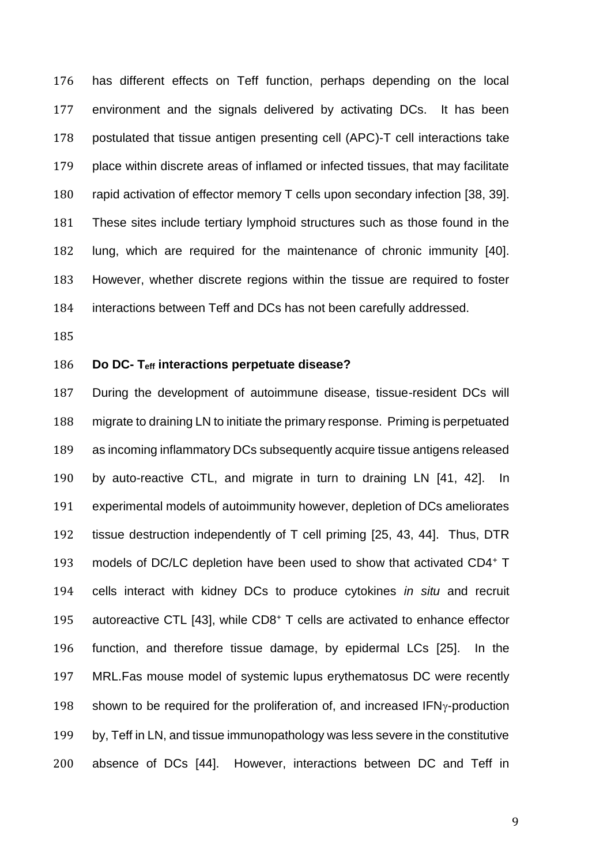has different effects on Teff function, perhaps depending on the local environment and the signals delivered by activating DCs. It has been postulated that tissue antigen presenting cell (APC)-T cell interactions take place within discrete areas of inflamed or infected tissues, that may facilitate rapid activation of effector memory T cells upon secondary infection [\[38,](#page-16-5) [39\]](#page-16-6). These sites include tertiary lymphoid structures such as those found in the lung, which are required for the maintenance of chronic immunity [\[40\]](#page-16-7). However, whether discrete regions within the tissue are required to foster interactions between Teff and DCs has not been carefully addressed.

### **Do DC- Teff interactions perpetuate disease?**

 During the development of autoimmune disease, tissue-resident DCs will migrate to draining LN to initiate the primary response. Priming is perpetuated as incoming inflammatory DCs subsequently acquire tissue antigens released by auto-reactive CTL, and migrate in turn to draining LN [\[41,](#page-16-8) [42\]](#page-16-9). In experimental models of autoimmunity however, depletion of DCs ameliorates tissue destruction independently of T cell priming [\[25,](#page-15-8) [43,](#page-16-10) [44\]](#page-16-11). Thus, DTR 193 models of DC/LC depletion have been used to show that activated CD4+ T cells interact with kidney DCs to produce cytokines *in situ* and recruit 195 autoreactive CTL [\[43\]](#page-16-10), while CD8+ T cells are activated to enhance effector function, and therefore tissue damage, by epidermal LCs [\[25\]](#page-15-8). In the MRL.Fas mouse model of systemic lupus erythematosus DC were recently 198 shown to be required for the proliferation of, and increased  $IFN<sub>Y</sub>$ -production by, Teff in LN, and tissue immunopathology was less severe in the constitutive absence of DCs [\[44\]](#page-16-11). However, interactions between DC and Teff in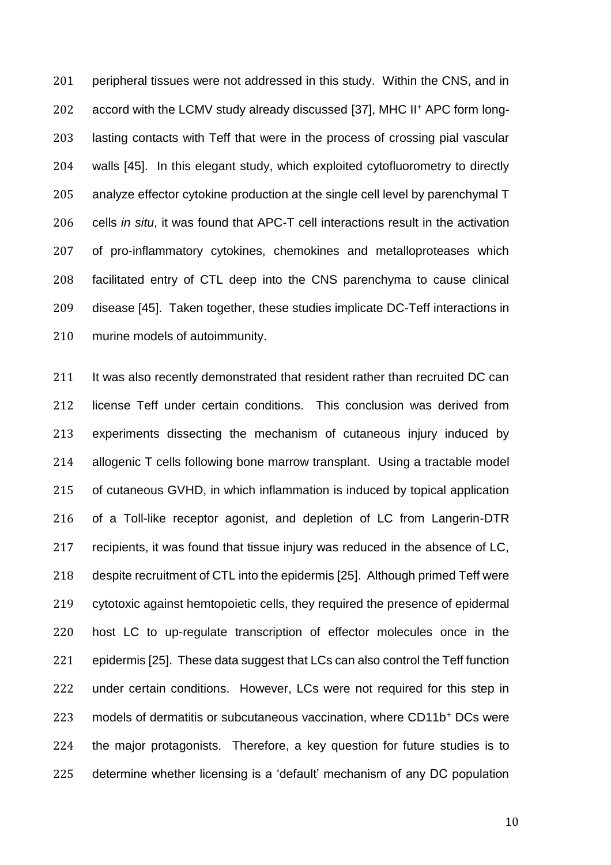201 peripheral tissues were not addressed in this study. Within the CNS, and in 202 accord with the LCMV study already discussed [\[37\]](#page-16-4), MHC II<sup>+</sup> APC form long- lasting contacts with Teff that were in the process of crossing pial vascular walls [\[45\]](#page-16-12). In this elegant study, which exploited cytofluorometry to directly analyze effector cytokine production at the single cell level by parenchymal T cells *in situ*, it was found that APC-T cell interactions result in the activation of pro-inflammatory cytokines, chemokines and metalloproteases which facilitated entry of CTL deep into the CNS parenchyma to cause clinical disease [\[45\]](#page-16-12). Taken together, these studies implicate DC-Teff interactions in murine models of autoimmunity.

211 It was also recently demonstrated that resident rather than recruited DC can license Teff under certain conditions. This conclusion was derived from experiments dissecting the mechanism of cutaneous injury induced by allogenic T cells following bone marrow transplant. Using a tractable model of cutaneous GVHD, in which inflammation is induced by topical application of a Toll-like receptor agonist, and depletion of LC from Langerin-DTR recipients, it was found that tissue injury was reduced in the absence of LC, despite recruitment of CTL into the epidermis [\[25\]](#page-15-8). Although primed Teff were cytotoxic against hemtopoietic cells, they required the presence of epidermal host LC to up-regulate transcription of effector molecules once in the epidermis [\[25\]](#page-15-8). These data suggest that LCs can also control the Teff function under certain conditions. However, LCs were not required for this step in 223 models of dermatitis or subcutaneous vaccination, where CD11b<sup>+</sup> DCs were the major protagonists. Therefore, a key question for future studies is to determine whether licensing is a 'default' mechanism of any DC population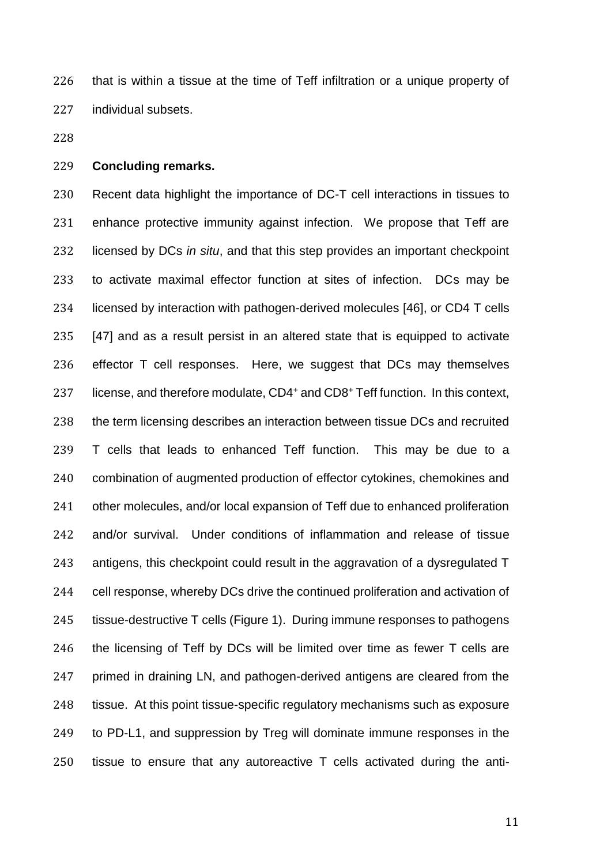that is within a tissue at the time of Teff infiltration or a unique property of individual subsets.

# **Concluding remarks.**

 Recent data highlight the importance of DC-T cell interactions in tissues to enhance protective immunity against infection. We propose that Teff are licensed by DCs *in situ*, and that this step provides an important checkpoint to activate maximal effector function at sites of infection. DCs may be licensed by interaction with pathogen-derived molecules [\[46\]](#page-16-13), or CD4 T cells [\[47\]](#page-16-14) and as a result persist in an altered state that is equipped to activate effector T cell responses. Here, we suggest that DCs may themselves 237 license, and therefore modulate, CD4<sup>+</sup> and CD8<sup>+</sup> Teff function. In this context, the term licensing describes an interaction between tissue DCs and recruited T cells that leads to enhanced Teff function. This may be due to a combination of augmented production of effector cytokines, chemokines and other molecules, and/or local expansion of Teff due to enhanced proliferation and/or survival. Under conditions of inflammation and release of tissue antigens, this checkpoint could result in the aggravation of a dysregulated T cell response, whereby DCs drive the continued proliferation and activation of tissue-destructive T cells (Figure 1). During immune responses to pathogens the licensing of Teff by DCs will be limited over time as fewer T cells are primed in draining LN, and pathogen-derived antigens are cleared from the 248 tissue. At this point tissue-specific regulatory mechanisms such as exposure to PD-L1, and suppression by Treg will dominate immune responses in the tissue to ensure that any autoreactive T cells activated during the anti-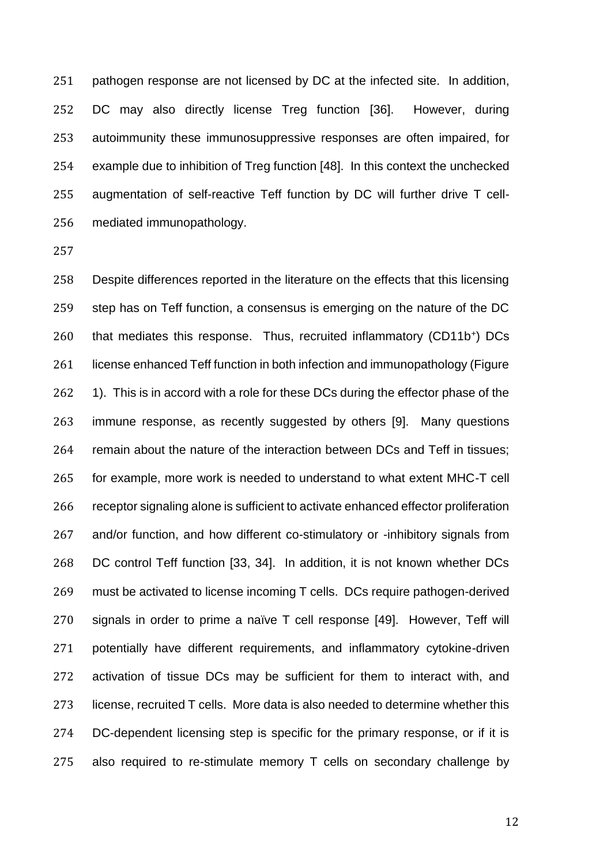pathogen response are not licensed by DC at the infected site. In addition, DC may also directly license Treg function [\[36\]](#page-16-3). However, during autoimmunity these immunosuppressive responses are often impaired, for example due to inhibition of Treg function [\[48\]](#page-16-15). In this context the unchecked augmentation of self-reactive Teff function by DC will further drive T cell-mediated immunopathology.

 Despite differences reported in the literature on the effects that this licensing step has on Teff function, a consensus is emerging on the nature of the DC 260 that mediates this response. Thus, recruited inflammatory (CD11b<sup>+</sup>) DCs 261 license enhanced Teff function in both infection and immunopathology (Figure 262 1). This is in accord with a role for these DCs during the effector phase of the immune response, as recently suggested by others [\[9\]](#page-14-6). Many questions remain about the nature of the interaction between DCs and Teff in tissues; for example, more work is needed to understand to what extent MHC-T cell receptor signaling alone is sufficient to activate enhanced effector proliferation 267 and/or function, and how different co-stimulatory or -inhibitory signals from DC control Teff function [\[33,](#page-16-1) [34\]](#page-16-0). In addition, it is not known whether DCs must be activated to license incoming T cells. DCs require pathogen-derived signals in order to prime a naïve T cell response [\[49\]](#page-17-0). However, Teff will potentially have different requirements, and inflammatory cytokine-driven activation of tissue DCs may be sufficient for them to interact with, and license, recruited T cells. More data is also needed to determine whether this DC-dependent licensing step is specific for the primary response, or if it is also required to re-stimulate memory T cells on secondary challenge by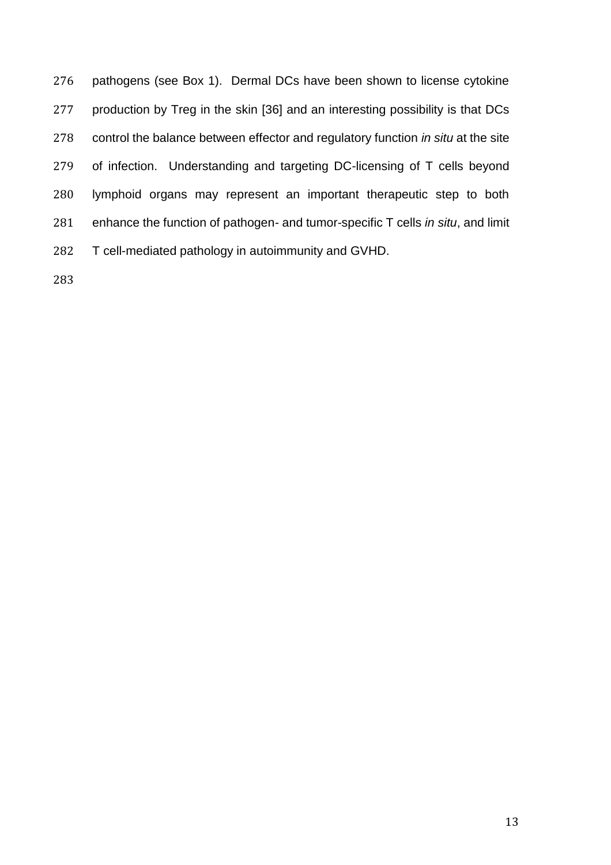pathogens (see Box 1). Dermal DCs have been shown to license cytokine production by Treg in the skin [\[36\]](#page-16-3) and an interesting possibility is that DCs control the balance between effector and regulatory function *in situ* at the site of infection. Understanding and targeting DC-licensing of T cells beyond lymphoid organs may represent an important therapeutic step to both enhance the function of pathogen- and tumor-specific T cells *in situ*, and limit T cell-mediated pathology in autoimmunity and GVHD.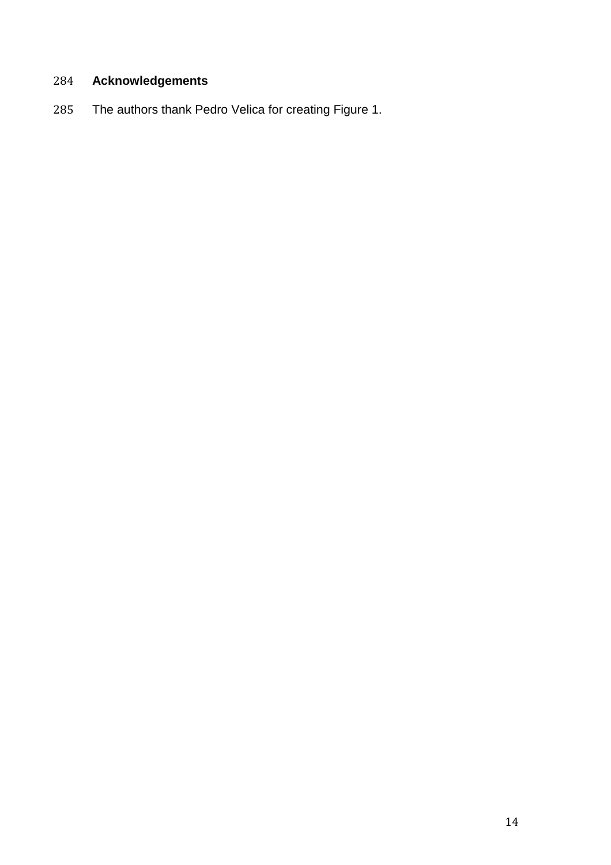# **Acknowledgements**

The authors thank Pedro Velica for creating Figure 1.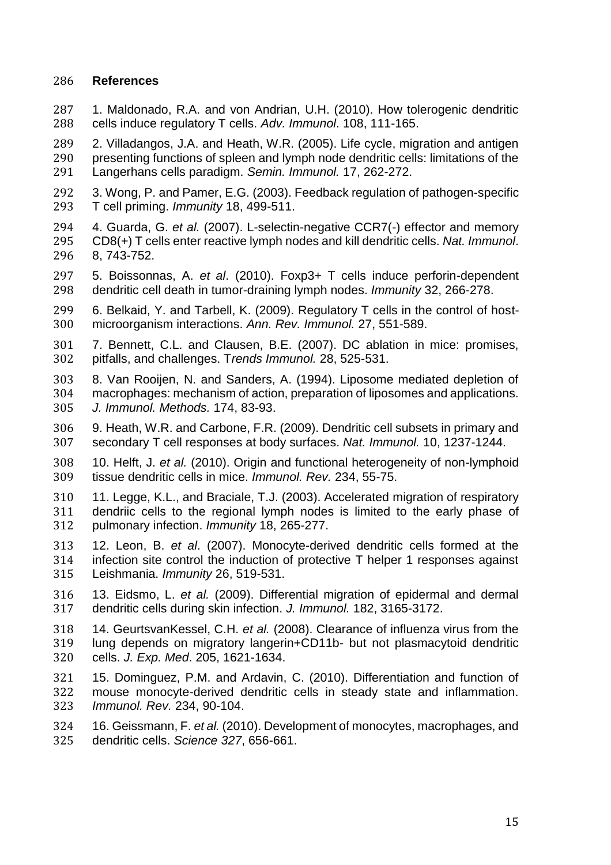# **References**

<span id="page-14-0"></span> 1. Maldonado, R.A. and von Andrian, U.H. (2010). How tolerogenic dendritic cells induce regulatory T cells. *Adv. Immunol*. 108, 111-165.

<span id="page-14-1"></span> 2. Villadangos, J.A. and Heath, W.R. (2005). Life cycle, migration and antigen presenting functions of spleen and lymph node dendritic cells: limitations of the Langerhans cells paradigm. *Semin. Immunol.* 17, 262-272.

- <span id="page-14-2"></span> 3. Wong, P. and Pamer, E.G. (2003). Feedback regulation of pathogen-specific T cell priming. *Immunity* 18, 499-511.
- 4. Guarda, G. *et al.* (2007). L-selectin-negative CCR7(-) effector and memory CD8(+) T cells enter reactive lymph nodes and kill dendritic cells. *Nat. Immunol*. 8, 743-752.
- 5. Boissonnas, A. *et al*. (2010). Foxp3+ T cells induce perforin-dependent dendritic cell death in tumor-draining lymph nodes. *Immunity* 32, 266-278.
- <span id="page-14-3"></span> 6. Belkaid, Y. and Tarbell, K. (2009). Regulatory T cells in the control of host-microorganism interactions. *Ann. Rev. Immunol.* 27, 551-589.
- <span id="page-14-4"></span> 7. Bennett, C.L. and Clausen, B.E. (2007). DC ablation in mice: promises, pitfalls, and challenges. T*rends Immunol.* 28, 525-531.
- <span id="page-14-5"></span> 8. Van Rooijen, N. and Sanders, A. (1994). Liposome mediated depletion of macrophages: mechanism of action, preparation of liposomes and applications. *J. Immunol. Methods.* 174, 83-93.
- <span id="page-14-6"></span> 9. Heath, W.R. and Carbone, F.R. (2009). Dendritic cell subsets in primary and secondary T cell responses at body surfaces. *Nat. Immunol.* 10, 1237-1244.
- <span id="page-14-7"></span> 10. Helft, J. *et al.* (2010). Origin and functional heterogeneity of non-lymphoid tissue dendritic cells in mice. *Immunol. Rev.* 234, 55-75.
- <span id="page-14-8"></span> 11. Legge, K.L., and Braciale, T.J. (2003). Accelerated migration of respiratory dendriic cells to the regional lymph nodes is limited to the early phase of pulmonary infection. *Immunity* 18, 265-277.
- <span id="page-14-9"></span> 12. Leon, B. *et al*. (2007). Monocyte-derived dendritic cells formed at the infection site control the induction of protective T helper 1 responses against Leishmania. *Immunity* 26, 519-531.
- <span id="page-14-10"></span> 13. Eidsmo, L. *et al.* (2009). Differential migration of epidermal and dermal dendritic cells during skin infection. *J. Immunol.* 182, 3165-3172.
- <span id="page-14-11"></span> 14. GeurtsvanKessel, C.H. *et al.* (2008). Clearance of influenza virus from the lung depends on migratory langerin+CD11b- but not plasmacytoid dendritic cells. *J. Exp. Med*. 205, 1621-1634.
- <span id="page-14-12"></span> 15. Dominguez, P.M. and Ardavin, C. (2010). Differentiation and function of mouse monocyte-derived dendritic cells in steady state and inflammation. *Immunol. Rev.* 234, 90-104.
- <span id="page-14-13"></span> 16. Geissmann, F. *et al.* (2010). Development of monocytes, macrophages, and dendritic cells. *Science 327*, 656-661.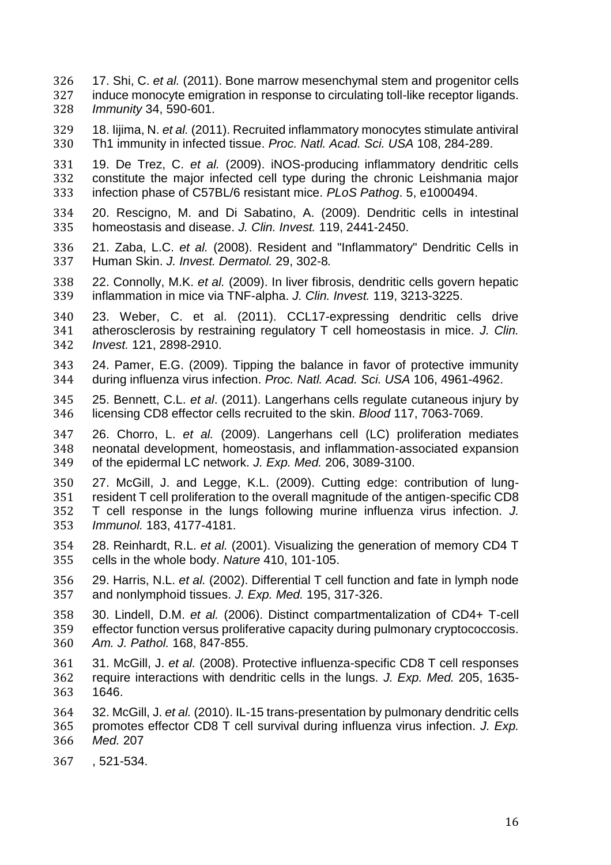- <span id="page-15-0"></span> 17. Shi, C. *et al.* (2011). Bone marrow mesenchymal stem and progenitor cells 327 induce monocyte emigration in response to circulating toll-like receptor ligands.<br>328 Immunity 34, 590-601. *Immunity* 34, 590-601.
- <span id="page-15-1"></span> 18. Iijima, N. *et al.* (2011). Recruited inflammatory monocytes stimulate antiviral Th1 immunity in infected tissue. *Proc. Natl. Acad. Sci. USA* 108, 284-289.
- <span id="page-15-2"></span> 19. De Trez, C. *et al.* (2009). iNOS-producing inflammatory dendritic cells 332 constitute the major infected cell type during the chronic Leishmania major<br>333 infection phase of C57BL/6 resistant mice. PLoS Pathog. 5, e1000494. infection phase of C57BL/6 resistant mice. *PLoS Pathog*. 5, e1000494.
- <span id="page-15-3"></span> 20. Rescigno, M. and Di Sabatino, A. (2009). Dendritic cells in intestinal homeostasis and disease. *J. Clin. Invest.* 119, 2441-2450.
- <span id="page-15-4"></span> 21. Zaba, L.C. *et al.* (2008). Resident and "Inflammatory" Dendritic Cells in Human Skin. *J. Invest. Dermatol.* 29, 302-8*.*
- <span id="page-15-5"></span> 22. Connolly, M.K. *et al.* (2009). In liver fibrosis, dendritic cells govern hepatic inflammation in mice via TNF-alpha. *J. Clin. Invest.* 119, 3213-3225.
- <span id="page-15-6"></span> 23. Weber, C. et al. (2011). CCL17-expressing dendritic cells drive atherosclerosis by restraining regulatory T cell homeostasis in mice. *J. Clin. Invest.* 121, 2898-2910.
- <span id="page-15-7"></span> 24. Pamer, E.G. (2009). Tipping the balance in favor of protective immunity during influenza virus infection. *Proc. Natl. Acad. Sci. USA* 106, 4961-4962.
- <span id="page-15-8"></span> 25. Bennett, C.L. *et al*. (2011). Langerhans cells regulate cutaneous injury by licensing CD8 effector cells recruited to the skin. *Blood* 117, 7063-7069.
- <span id="page-15-9"></span> 26. Chorro, L. *et al.* (2009). Langerhans cell (LC) proliferation mediates neonatal development, homeostasis, and inflammation-associated expansion of the epidermal LC network. *J. Exp. Med.* 206, 3089-3100.
- <span id="page-15-10"></span> 27. McGill, J. and Legge, K.L. (2009). Cutting edge: contribution of lung- resident T cell proliferation to the overall magnitude of the antigen-specific CD8 T cell response in the lungs following murine influenza virus infection. *J. Immunol.* 183, 4177-4181.
- <span id="page-15-11"></span> 28. Reinhardt, R.L. *et al.* (2001). Visualizing the generation of memory CD4 T cells in the whole body. *Nature* 410, 101-105.
- <span id="page-15-12"></span> 29. Harris, N.L. *et al.* (2002). Differential T cell function and fate in lymph node and nonlymphoid tissues. *J. Exp. Med.* 195, 317-326.
- <span id="page-15-13"></span> 30. Lindell, D.M. *et al.* (2006). Distinct compartmentalization of CD4+ T-cell effector function versus proliferative capacity during pulmonary cryptococcosis. *Am. J. Pathol.* 168, 847-855.
- <span id="page-15-14"></span> 31. McGill, J. *et al.* (2008). Protective influenza-specific CD8 T cell responses require interactions with dendritic cells in the lungs. *J. Exp. Med.* 205, 1635- 1646.
- 32. McGill, J. *et al.* (2010). IL-15 trans-presentation by pulmonary dendritic cells promotes effector CD8 T cell survival during influenza virus infection. *J. Exp. Med.* 207
- , 521-534.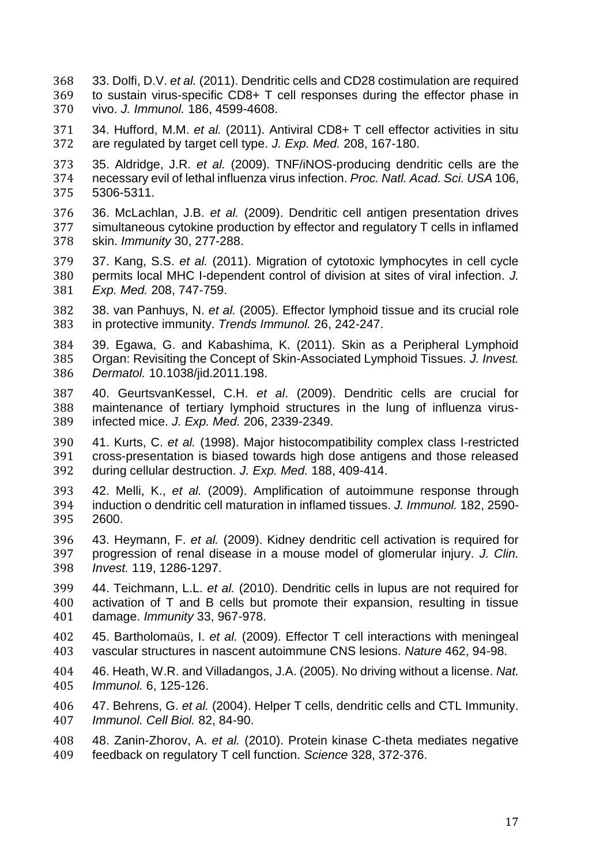- <span id="page-16-1"></span> 33. Dolfi, D.V. *et al.* (2011). Dendritic cells and CD28 costimulation are required 369 to sustain virus-specific CD8+ T cell responses during the effector phase in 370 vivo. J. Immunol. 186. 4599-4608. vivo. *J. Immunol.* 186, 4599-4608.
- <span id="page-16-0"></span> 34. Hufford, M.M. *et al.* (2011). Antiviral CD8+ T cell effector activities in situ are regulated by target cell type. *J. Exp. Med.* 208, 167-180.
- <span id="page-16-2"></span> 35. Aldridge, J.R. *et al.* (2009). TNF/iNOS-producing dendritic cells are the necessary evil of lethal influenza virus infection. *Proc. Natl. Acad. Sci. USA* 106, 5306-5311.
- <span id="page-16-3"></span> 36. McLachlan, J.B. *et al.* (2009). Dendritic cell antigen presentation drives simultaneous cytokine production by effector and regulatory T cells in inflamed skin. *Immunity* 30, 277-288.
- <span id="page-16-4"></span> 37. Kang, S.S. *et al.* (2011). Migration of cytotoxic lymphocytes in cell cycle permits local MHC I-dependent control of division at sites of viral infection. *J. Exp. Med.* 208, 747-759.
- <span id="page-16-5"></span> 38. van Panhuys, N. *et al.* (2005). Effector lymphoid tissue and its crucial role in protective immunity. *Trends Immunol.* 26, 242-247.
- <span id="page-16-7"></span><span id="page-16-6"></span> 39. Egawa, G. and Kabashima, K. (2011). Skin as a Peripheral Lymphoid Organ: Revisiting the Concept of Skin-Associated Lymphoid Tissues. *J. Invest. Dermatol.* 10.1038/jid.2011.198.
- 40. GeurtsvanKessel, C.H. *et al*. (2009). Dendritic cells are crucial for maintenance of tertiary lymphoid structures in the lung of influenza virus-infected mice. *J. Exp. Med.* 206, 2339-2349.
- <span id="page-16-8"></span> 41. Kurts, C. *et al.* (1998). Major histocompatibility complex class I-restricted cross-presentation is biased towards high dose antigens and those released during cellular destruction. *J. Exp. Med.* 188, 409-414.
- <span id="page-16-9"></span> 42. Melli, K., *et al.* (2009). Amplification of autoimmune response through induction o dendritic cell maturation in inflamed tissues. *J. Immunol.* 182, 2590- 2600.
- <span id="page-16-10"></span> 43. Heymann, F. *et al.* (2009). Kidney dendritic cell activation is required for progression of renal disease in a mouse model of glomerular injury. *J. Clin. Invest.* 119, 1286-1297.
- <span id="page-16-11"></span> 44. Teichmann, L.L. *et al.* (2010). Dendritic cells in lupus are not required for activation of T and B cells but promote their expansion, resulting in tissue damage. *Immunity* 33, 967-978.
- <span id="page-16-12"></span> 45. Bartholomaüs, I. *et al.* (2009). Effector T cell interactions with meningeal vascular structures in nascent autoimmune CNS lesions. *Nature* 462, 94-98.
- <span id="page-16-13"></span> 46. Heath, W.R. and Villadangos, J.A. (2005). No driving without a license. *Nat. Immunol.* 6, 125-126.
- <span id="page-16-14"></span> 47. Behrens, G. *et al.* (2004). Helper T cells, dendritic cells and CTL Immunity. *Immunol. Cell Biol.* 82, 84-90.
- <span id="page-16-15"></span> 48. Zanin-Zhorov, A. *et al.* (2010). Protein kinase C-theta mediates negative feedback on regulatory T cell function. *Science* 328, 372-376.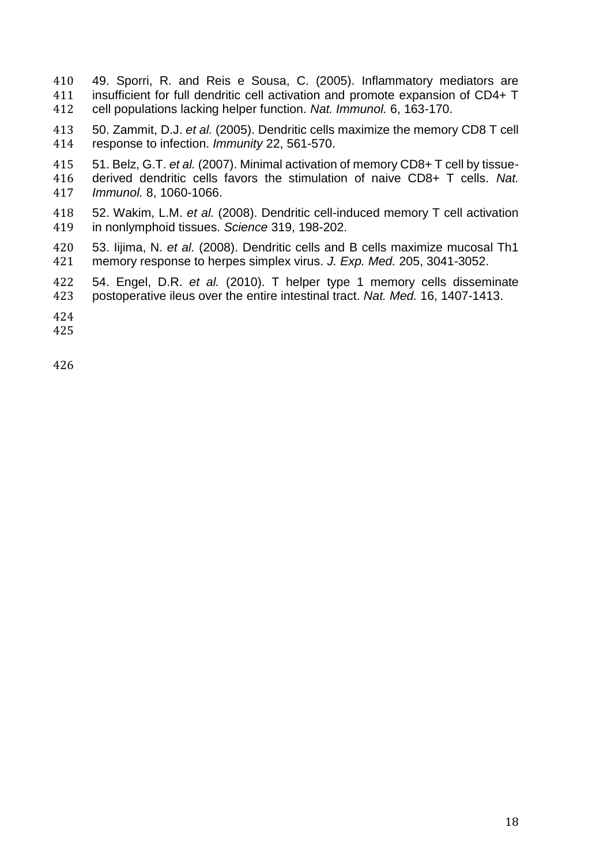- <span id="page-17-0"></span> 49. Sporri, R. and Reis e Sousa, C. (2005). Inflammatory mediators are 411 insufficient for full dendritic cell activation and promote expansion of CD4+ T<br>412 cell populations lacking helper function. Nat. Immunol. 6. 163-170. cell populations lacking helper function. *Nat. Immunol.* 6, 163-170.
- <span id="page-17-1"></span> 50. Zammit, D.J. *et al.* (2005). Dendritic cells maximize the memory CD8 T cell response to infection. *Immunity* 22, 561-570.
- <span id="page-17-2"></span> 51. Belz, G.T. *et al.* (2007). Minimal activation of memory CD8+ T cell by tissue- derived dendritic cells favors the stimulation of naive CD8+ T cells. *Nat. Immunol.* 8, 1060-1066.
- <span id="page-17-3"></span> 52. Wakim, L.M. *et al.* (2008). Dendritic cell-induced memory T cell activation in nonlymphoid tissues. *Science* 319, 198-202.
- <span id="page-17-4"></span> 53. Iijima, N. *et al.* (2008). Dendritic cells and B cells maximize mucosal Th1 memory response to herpes simplex virus. *J. Exp. Med.* 205, 3041-3052.
- <span id="page-17-5"></span> 54. Engel, D.R. *et al.* (2010). T helper type 1 memory cells disseminate postoperative ileus over the entire intestinal tract. *Nat. Med.* 16, 1407-1413.
- 
-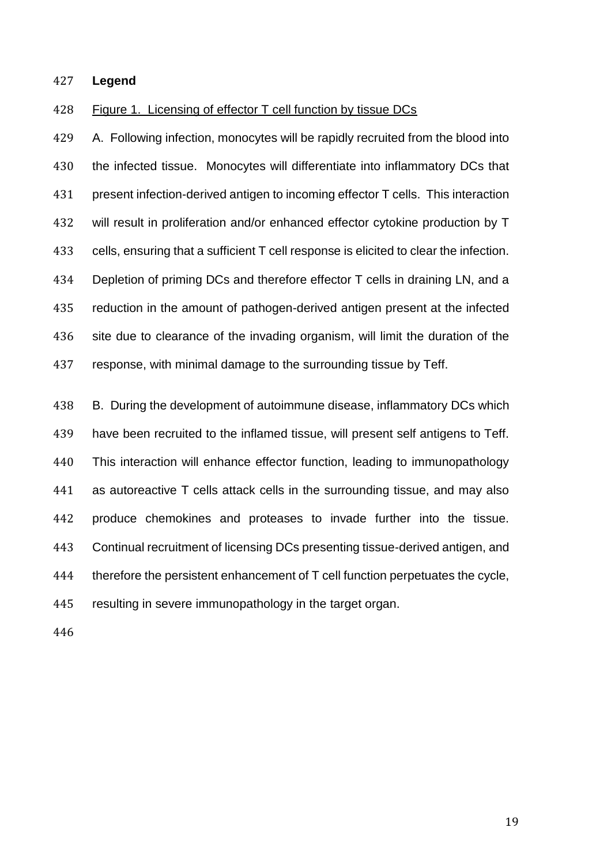### **Legend**

#### Figure 1. Licensing of effector T cell function by tissue DCs

 A. Following infection, monocytes will be rapidly recruited from the blood into the infected tissue. Monocytes will differentiate into inflammatory DCs that present infection-derived antigen to incoming effector T cells. This interaction will result in proliferation and/or enhanced effector cytokine production by T cells, ensuring that a sufficient T cell response is elicited to clear the infection. 434 Depletion of priming DCs and therefore effector T cells in draining LN, and a reduction in the amount of pathogen-derived antigen present at the infected site due to clearance of the invading organism, will limit the duration of the response, with minimal damage to the surrounding tissue by Teff.

 B. During the development of autoimmune disease, inflammatory DCs which have been recruited to the inflamed tissue, will present self antigens to Teff. This interaction will enhance effector function, leading to immunopathology as autoreactive T cells attack cells in the surrounding tissue, and may also produce chemokines and proteases to invade further into the tissue. Continual recruitment of licensing DCs presenting tissue-derived antigen, and therefore the persistent enhancement of T cell function perpetuates the cycle, resulting in severe immunopathology in the target organ.